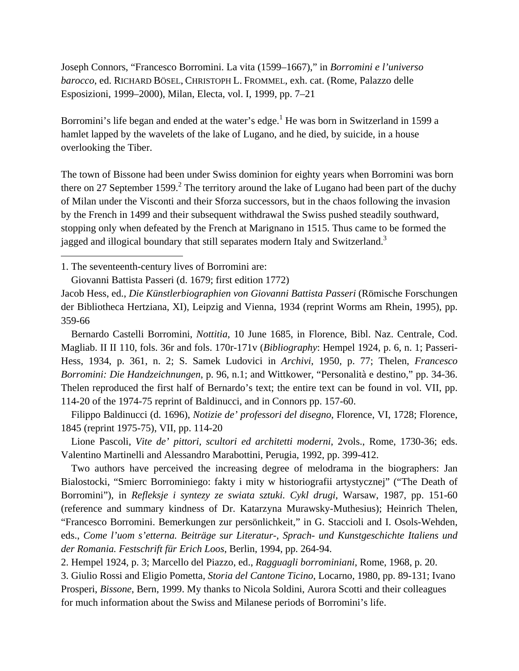Joseph Connors, "Francesco Borromini. La vita (1599–1667)," in *Borromini e l'universo barocco*, ed. RICHARD BÖSEL, CHRISTOPH L. FROMMEL, exh. cat. (Rome, Palazzo delle Esposizioni, 1999–2000), Milan, Electa, vol. I, 1999, pp. 7–21

Borromini's life began and ended at the water's edge.<sup>1</sup> He was born in Switzerland in 1599 a hamlet lapped by the wavelets of the lake of Lugano, and he died, by suicide, in a house overlooking the Tiber.

The town of Bissone had been under Swiss dominion for eighty years when Borromini was born there on 27 September 1599.<sup>2</sup> The territory around the lake of Lugano had been part of the duchy of Milan under the Visconti and their Sforza successors, but in the chaos following the invasion by the French in 1499 and their subsequent withdrawal the Swiss pushed steadily southward, stopping only when defeated by the French at Marignano in 1515. Thus came to be formed the jagged and illogical boundary that still separates modern Italy and Switzerland.<sup>3</sup>

1. The seventeenth-century lives of Borromini are:

 $\overline{a}$ 

Giovanni Battista Passeri (d. 1679; first edition 1772)

Jacob Hess, ed., *Die Künstlerbiographien von Giovanni Battista Passeri* (Römische Forschungen der Bibliotheca Hertziana, XI), Leipzig and Vienna, 1934 (reprint Worms am Rhein, 1995), pp. 359-66

 Bernardo Castelli Borromini, *Nottitia*, 10 June 1685, in Florence, Bibl. Naz. Centrale, Cod. Magliab. II II 110, fols. 36r and fols. 170r-171v (*Bibliography*: Hempel 1924, p. 6, n. 1; Passeri-Hess, 1934, p. 361, n. 2; S. Samek Ludovici in *Archivi*, 1950, p. 77; Thelen, *Francesco Borromini: Die Handzeichnungen*, p. 96, n.1; and Wittkower, "Personalità e destino," pp. 34-36. Thelen reproduced the first half of Bernardo's text; the entire text can be found in vol. VII, pp. 114-20 of the 1974-75 reprint of Baldinucci, and in Connors pp. 157-60.

 Filippo Baldinucci (d. 1696), *Notizie de' professori del disegno*, Florence, VI, 1728; Florence, 1845 (reprint 1975-75), VII, pp. 114-20

 Lione Pascoli, *Vite de' pittori, scultori ed architetti moderni*, 2vols., Rome, 1730-36; eds. Valentino Martinelli and Alessandro Marabottini, Perugia, 1992, pp. 399-412.

 Two authors have perceived the increasing degree of melodrama in the biographers: Jan Bialostocki, "Smierc Borrominiego: fakty i mity w historiografii artystycznej" ("The Death of Borromini"), in *Refleksje i syntezy ze swiata sztuki. Cykl drugi*, Warsaw, 1987, pp. 151-60 (reference and summary kindness of Dr. Katarzyna Murawsky-Muthesius); Heinrich Thelen, "Francesco Borromini. Bemerkungen zur persönlichkeit," in G. Staccioli and I. Osols-Wehden, eds., *Come l'uom s'etterna. Beiträge sur Literatur-, Sprach- und Kunstgeschichte Italiens und der Romania. Festschrift für Erich Loos*, Berlin, 1994, pp. 264-94.

2. Hempel 1924, p. 3; Marcello del Piazzo, ed., *Ragguagli borrominiani*, Rome, 1968, p. 20.

3. Giulio Rossi and Eligio Pometta, *Storia del Cantone Ticino*, Locarno, 1980, pp. 89-131; Ivano Prosperi, *Bissone*, Bern, 1999. My thanks to Nicola Soldini, Aurora Scotti and their colleagues for much information about the Swiss and Milanese periods of Borromini's life.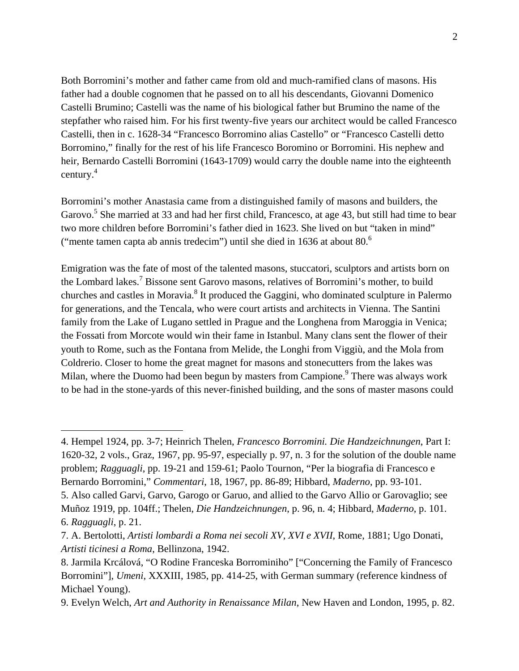Both Borromini's mother and father came from old and much-ramified clans of masons. His father had a double cognomen that he passed on to all his descendants, Giovanni Domenico Castelli Brumino; Castelli was the name of his biological father but Brumino the name of the stepfather who raised him. For his first twenty-five years our architect would be called Francesco Castelli, then in c. 1628-34 "Francesco Borromino alias Castello" or "Francesco Castelli detto Borromino," finally for the rest of his life Francesco Boromino or Borromini. His nephew and heir, Bernardo Castelli Borromini (1643-1709) would carry the double name into the eighteenth century.<sup>4</sup>

Borromini's mother Anastasia came from a distinguished family of masons and builders, the Garovo.<sup>5</sup> She married at 33 and had her first child, Francesco, at age 43, but still had time to bear two more children before Borromini's father died in 1623. She lived on but "taken in mind" ("mente tamen capta ab annis tredecim") until she died in 1636 at about  $80<sup>6</sup>$ 

Emigration was the fate of most of the talented masons, stuccatori, sculptors and artists born on the Lombard lakes.<sup>7</sup> Bissone sent Garovo masons, relatives of Borromini's mother, to build churches and castles in Moravia.<sup>8</sup> It produced the Gaggini, who dominated sculpture in Palermo for generations, and the Tencala, who were court artists and architects in Vienna. The Santini family from the Lake of Lugano settled in Prague and the Longhena from Maroggia in Venica; the Fossati from Morcote would win their fame in Istanbul. Many clans sent the flower of their youth to Rome, such as the Fontana from Melide, the Longhi from Viggiù, and the Mola from Coldrerio. Closer to home the great magnet for masons and stonecutters from the lakes was Milan, where the Duomo had been begun by masters from Campione.<sup>9</sup> There was always work to be had in the stone-yards of this never-finished building, and the sons of master masons could

<sup>4.</sup> Hempel 1924, pp. 3-7; Heinrich Thelen, *Francesco Borromini. Die Handzeichnungen*, Part I: 1620-32, 2 vols., Graz, 1967, pp. 95-97, especially p. 97, n. 3 for the solution of the double name problem; *Ragguagli*, pp. 19-21 and 159-61; Paolo Tournon, "Per la biografia di Francesco e Bernardo Borromini," *Commentari*, 18, 1967, pp. 86-89; Hibbard, *Maderno*, pp. 93-101.

<sup>5.</sup> Also called Garvi, Garvo, Garogo or Garuo, and allied to the Garvo Allio or Garovaglio; see Muñoz 1919, pp. 104ff.; Thelen, *Die Handzeichnungen*, p. 96, n. 4; Hibbard, *Maderno*, p. 101. 6. *Ragguagli*, p. 21.

<sup>7.</sup> A. Bertolotti, *Artisti lombardi a Roma nei secoli XV, XVI e XVII*, Rome, 1881; Ugo Donati, *Artisti ticinesi a Roma*, Bellinzona, 1942.

<sup>8.</sup> Jarmila Krcálová, "O Rodine Franceska Borrominiho" ["Concerning the Family of Francesco Borromini"], *Umeni*, XXXIII, 1985, pp. 414-25, with German summary (reference kindness of Michael Young).

<sup>9.</sup> Evelyn Welch, *Art and Authority in Renaissance Milan*, New Haven and London, 1995, p. 82.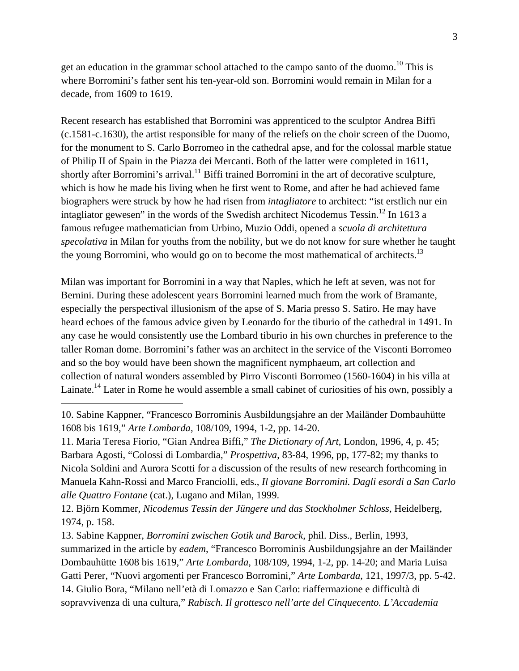get an education in the grammar school attached to the campo santo of the duomo.<sup>10</sup> This is where Borromini's father sent his ten-year-old son. Borromini would remain in Milan for a decade, from 1609 to 1619.

Recent research has established that Borromini was apprenticed to the sculptor Andrea Biffi (c.1581-c.1630), the artist responsible for many of the reliefs on the choir screen of the Duomo, for the monument to S. Carlo Borromeo in the cathedral apse, and for the colossal marble statue of Philip II of Spain in the Piazza dei Mercanti. Both of the latter were completed in 1611, shortly after Borromini's arrival.<sup>11</sup> Biffi trained Borromini in the art of decorative sculpture, which is how he made his living when he first went to Rome, and after he had achieved fame biographers were struck by how he had risen from *intagliatore* to architect: "ist erstlich nur ein intagliator gewesen" in the words of the Swedish architect Nicodemus Tessin.<sup>12</sup> In 1613 a famous refugee mathematician from Urbino, Muzio Oddi, opened a *scuola di architettura specolativa* in Milan for youths from the nobility, but we do not know for sure whether he taught the young Borromini, who would go on to become the most mathematical of architects.<sup>13</sup>

Milan was important for Borromini in a way that Naples, which he left at seven, was not for Bernini. During these adolescent years Borromini learned much from the work of Bramante, especially the perspectival illusionism of the apse of S. Maria presso S. Satiro. He may have heard echoes of the famous advice given by Leonardo for the tiburio of the cathedral in 1491. In any case he would consistently use the Lombard tiburio in his own churches in preference to the taller Roman dome. Borromini's father was an architect in the service of the Visconti Borromeo and so the boy would have been shown the magnificent nymphaeum, art collection and collection of natural wonders assembled by Pirro Visconti Borromeo (1560-1604) in his villa at Lainate.<sup>14</sup> Later in Rome he would assemble a small cabinet of curiosities of his own, possibly a

 $\overline{a}$ 

11. Maria Teresa Fiorio, "Gian Andrea Biffi," *The Dictionary of Art*, London, 1996, 4, p. 45; Barbara Agosti, "Colossi di Lombardia," *Prospettiva*, 83-84, 1996, pp, 177-82; my thanks to Nicola Soldini and Aurora Scotti for a discussion of the results of new research forthcoming in Manuela Kahn-Rossi and Marco Franciolli, eds., *Il giovane Borromini. Dagli esordi a San Carlo alle Quattro Fontane* (cat.), Lugano and Milan, 1999.

12. Björn Kommer, *Nicodemus Tessin der Jüngere und das Stockholmer Schloss*, Heidelberg, 1974, p. 158.

13. Sabine Kappner, *Borromini zwischen Gotik und Barock*, phil. Diss., Berlin, 1993, summarized in the article by *eadem*, "Francesco Borrominis Ausbildungsjahre an der Mailänder Dombauhütte 1608 bis 1619," *Arte Lombarda*, 108/109, 1994, 1-2, pp. 14-20; and Maria Luisa Gatti Perer, "Nuovi argomenti per Francesco Borromini," *Arte Lombarda*, 121, 1997/3, pp. 5-42. 14. Giulio Bora, "Milano nell'età di Lomazzo e San Carlo: riaffermazione e difficultà di sopravvivenza di una cultura," *Rabisch. Il grottesco nell'arte del Cinquecento. L'Accademia* 

<sup>10.</sup> Sabine Kappner, "Francesco Borrominis Ausbildungsjahre an der Mailänder Dombauhütte 1608 bis 1619," *Arte Lombarda*, 108/109, 1994, 1-2, pp. 14-20.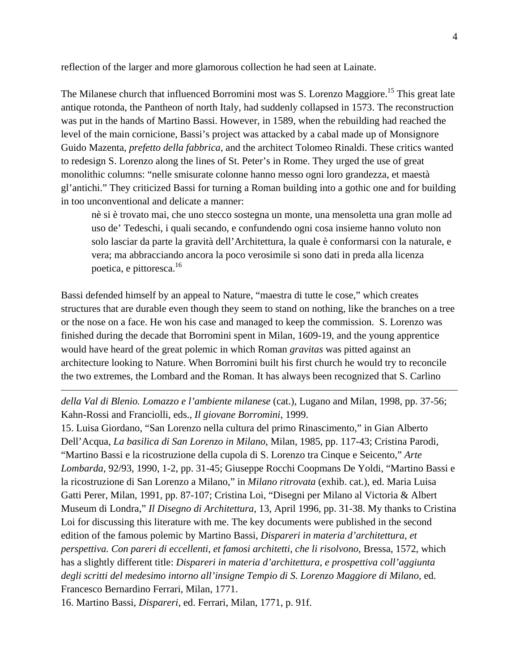reflection of the larger and more glamorous collection he had seen at Lainate.

The Milanese church that influenced Borromini most was S. Lorenzo Maggiore.<sup>15</sup> This great late antique rotonda, the Pantheon of north Italy, had suddenly collapsed in 1573. The reconstruction was put in the hands of Martino Bassi. However, in 1589, when the rebuilding had reached the level of the main cornicione, Bassi's project was attacked by a cabal made up of Monsignore Guido Mazenta, *prefetto della fabbrica*, and the architect Tolomeo Rinaldi. These critics wanted to redesign S. Lorenzo along the lines of St. Peter's in Rome. They urged the use of great monolithic columns: "nelle smisurate colonne hanno messo ogni loro grandezza, et maestà gl'antichi." They criticized Bassi for turning a Roman building into a gothic one and for building in too unconventional and delicate a manner:

nè si è trovato mai, che uno stecco sostegna un monte, una mensoletta una gran molle ad uso de' Tedeschi, i quali secando, e confundendo ogni cosa insieme hanno voluto non solo lasciar da parte la gravità dell'Architettura, la quale è conformarsi con la naturale, e vera; ma abbracciando ancora la poco verosimile si sono dati in preda alla licenza poetica, e pittoresca.16

Bassi defended himself by an appeal to Nature, "maestra di tutte le cose," which creates structures that are durable even though they seem to stand on nothing, like the branches on a tree or the nose on a face. He won his case and managed to keep the commission. S. Lorenzo was finished during the decade that Borromini spent in Milan, 1609-19, and the young apprentice would have heard of the great polemic in which Roman *gravitas* was pitted against an architecture looking to Nature. When Borromini built his first church he would try to reconcile the two extremes, the Lombard and the Roman. It has always been recognized that S. Carlino

*della Val di Blenio. Lomazzo e l'ambiente milanese* (cat.), Lugano and Milan, 1998, pp. 37-56; Kahn-Rossi and Franciolli, eds., *Il giovane Borromini*, 1999.

15. Luisa Giordano, "San Lorenzo nella cultura del primo Rinascimento," in Gian Alberto Dell'Acqua, *La basilica di San Lorenzo in Milano*, Milan, 1985, pp. 117-43; Cristina Parodi, "Martino Bassi e la ricostruzione della cupola di S. Lorenzo tra Cinque e Seicento," *Arte Lombarda*, 92/93, 1990, 1-2, pp. 31-45; Giuseppe Rocchi Coopmans De Yoldi, "Martino Bassi e la ricostruzione di San Lorenzo a Milano," in *Milano ritrovata* (exhib. cat.), ed. Maria Luisa Gatti Perer, Milan, 1991, pp. 87-107; Cristina Loi, "Disegni per Milano al Victoria & Albert Museum di Londra," *Il Disegno di Architettura*, 13, April 1996, pp. 31-38. My thanks to Cristina Loi for discussing this literature with me. The key documents were published in the second edition of the famous polemic by Martino Bassi, *Dispareri in materia d'architettura, et perspettiva. Con pareri di eccellenti, et famosi architetti, che li risolvono*, Bressa, 1572, which has a slightly different title: *Dispareri in materia d'architettura, e prospettiva coll'aggiunta degli scritti del medesimo intorno all'insigne Tempio di S. Lorenzo Maggiore di Milano*, ed. Francesco Bernardino Ferrari, Milan, 1771.

16. Martino Bassi, *Dispareri*, ed. Ferrari, Milan, 1771, p. 91f.

1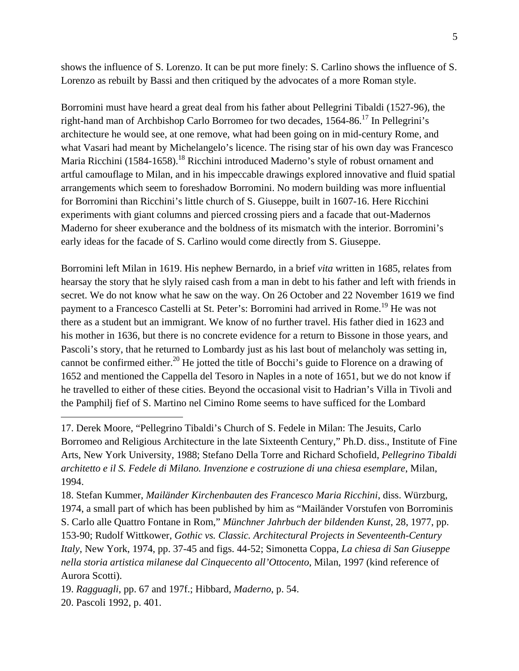shows the influence of S. Lorenzo. It can be put more finely: S. Carlino shows the influence of S. Lorenzo as rebuilt by Bassi and then critiqued by the advocates of a more Roman style.

Borromini must have heard a great deal from his father about Pellegrini Tibaldi (1527-96), the right-hand man of Archbishop Carlo Borromeo for two decades,  $1564-86$ <sup>17</sup> In Pellegrini's architecture he would see, at one remove, what had been going on in mid-century Rome, and what Vasari had meant by Michelangelo's licence. The rising star of his own day was Francesco Maria Ricchini (1584-1658).<sup>18</sup> Ricchini introduced Maderno's style of robust ornament and artful camouflage to Milan, and in his impeccable drawings explored innovative and fluid spatial arrangements which seem to foreshadow Borromini. No modern building was more influential for Borromini than Ricchini's little church of S. Giuseppe, built in 1607-16. Here Ricchini experiments with giant columns and pierced crossing piers and a facade that out-Madernos Maderno for sheer exuberance and the boldness of its mismatch with the interior. Borromini's early ideas for the facade of S. Carlino would come directly from S. Giuseppe.

Borromini left Milan in 1619. His nephew Bernardo, in a brief *vita* written in 1685, relates from hearsay the story that he slyly raised cash from a man in debt to his father and left with friends in secret. We do not know what he saw on the way. On 26 October and 22 November 1619 we find payment to a Francesco Castelli at St. Peter's: Borromini had arrived in Rome.<sup>19</sup> He was not there as a student but an immigrant. We know of no further travel. His father died in 1623 and his mother in 1636, but there is no concrete evidence for a return to Bissone in those years, and Pascoli's story, that he returned to Lombardy just as his last bout of melancholy was setting in, cannot be confirmed either.<sup>20</sup> He jotted the title of Bocchi's guide to Florence on a drawing of 1652 and mentioned the Cappella del Tesoro in Naples in a note of 1651, but we do not know if he travelled to either of these cities. Beyond the occasional visit to Hadrian's Villa in Tivoli and the Pamphilj fief of S. Martino nel Cimino Rome seems to have sufficed for the Lombard

17. Derek Moore, "Pellegrino Tibaldi's Church of S. Fedele in Milan: The Jesuits, Carlo Borromeo and Religious Architecture in the late Sixteenth Century," Ph.D. diss., Institute of Fine Arts, New York University, 1988; Stefano Della Torre and Richard Schofield, *Pellegrino Tibaldi architetto e il S. Fedele di Milano. Invenzione e costruzione di una chiesa esemplare*, Milan, 1994.

18. Stefan Kummer, *Mailänder Kirchenbauten des Francesco Maria Ricchini*, diss. Würzburg, 1974, a small part of which has been published by him as "Mailänder Vorstufen von Borrominis S. Carlo alle Quattro Fontane in Rom," *Münchner Jahrbuch der bildenden Kunst*, 28, 1977, pp. 153-90; Rudolf Wittkower, *Gothic vs. Classic. Architectural Projects in Seventeenth-Century Italy*, New York, 1974, pp. 37-45 and figs. 44-52; Simonetta Coppa, *La chiesa di San Giuseppe nella storia artistica milanese dal Cinquecento all'Ottocento*, Milan, 1997 (kind reference of Aurora Scotti).

19. *Ragguagli*, pp. 67 and 197f.; Hibbard, *Maderno*, p. 54. 20. Pascoli 1992, p. 401.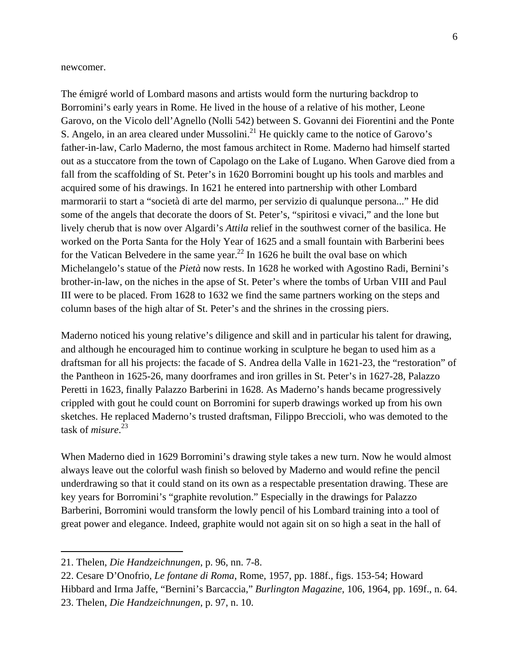newcomer.

The émigré world of Lombard masons and artists would form the nurturing backdrop to Borromini's early years in Rome. He lived in the house of a relative of his mother, Leone Garovo, on the Vicolo dell'Agnello (Nolli 542) between S. Govanni dei Fiorentini and the Ponte S. Angelo, in an area cleared under Mussolini.<sup>21</sup> He quickly came to the notice of Garovo's father-in-law, Carlo Maderno, the most famous architect in Rome. Maderno had himself started out as a stuccatore from the town of Capolago on the Lake of Lugano. When Garove died from a fall from the scaffolding of St. Peter's in 1620 Borromini bought up his tools and marbles and acquired some of his drawings. In 1621 he entered into partnership with other Lombard marmorarii to start a "società di arte del marmo, per servizio di qualunque persona..." He did some of the angels that decorate the doors of St. Peter's, "spiritosi e vivaci," and the lone but lively cherub that is now over Algardi's *Attila* relief in the southwest corner of the basilica. He worked on the Porta Santa for the Holy Year of 1625 and a small fountain with Barberini bees for the Vatican Belvedere in the same year.<sup>22</sup> In 1626 he built the oval base on which Michelangelo's statue of the *Pietà* now rests. In 1628 he worked with Agostino Radi, Bernini's brother-in-law, on the niches in the apse of St. Peter's where the tombs of Urban VIII and Paul III were to be placed. From 1628 to 1632 we find the same partners working on the steps and column bases of the high altar of St. Peter's and the shrines in the crossing piers.

Maderno noticed his young relative's diligence and skill and in particular his talent for drawing, and although he encouraged him to continue working in sculpture he began to used him as a draftsman for all his projects: the facade of S. Andrea della Valle in 1621-23, the "restoration" of the Pantheon in 1625-26, many doorframes and iron grilles in St. Peter's in 1627-28, Palazzo Peretti in 1623, finally Palazzo Barberini in 1628. As Maderno's hands became progressively crippled with gout he could count on Borromini for superb drawings worked up from his own sketches. He replaced Maderno's trusted draftsman, Filippo Breccioli, who was demoted to the task of *misure*. 23

When Maderno died in 1629 Borromini's drawing style takes a new turn. Now he would almost always leave out the colorful wash finish so beloved by Maderno and would refine the pencil underdrawing so that it could stand on its own as a respectable presentation drawing. These are key years for Borromini's "graphite revolution." Especially in the drawings for Palazzo Barberini, Borromini would transform the lowly pencil of his Lombard training into a tool of great power and elegance. Indeed, graphite would not again sit on so high a seat in the hall of

<sup>21.</sup> Thelen, *Die Handzeichnungen*, p. 96, nn. 7-8.

<sup>22.</sup> Cesare D'Onofrio, *Le fontane di Roma*, Rome, 1957, pp. 188f., figs. 153-54; Howard Hibbard and Irma Jaffe, "Bernini's Barcaccia," *Burlington Magazine*, 106, 1964, pp. 169f., n. 64. 23. Thelen, *Die Handzeichnungen*, p. 97, n. 10.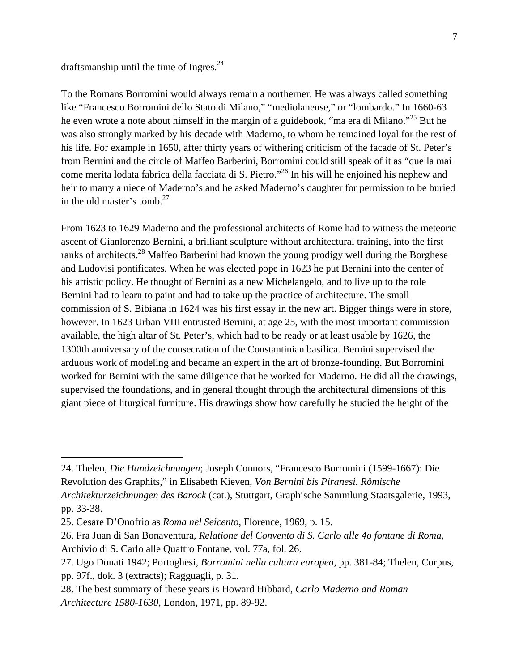## draftsmanship until the time of Ingres. $^{24}$

To the Romans Borromini would always remain a northerner. He was always called something like "Francesco Borromini dello Stato di Milano," "mediolanense," or "lombardo." In 1660-63 he even wrote a note about himself in the margin of a guidebook, "ma era di Milano."<sup>25</sup> But he was also strongly marked by his decade with Maderno, to whom he remained loyal for the rest of his life. For example in 1650, after thirty years of withering criticism of the facade of St. Peter's from Bernini and the circle of Maffeo Barberini, Borromini could still speak of it as "quella mai come merita lodata fabrica della facciata di S. Pietro."26 In his will he enjoined his nephew and heir to marry a niece of Maderno's and he asked Maderno's daughter for permission to be buried in the old master's tomb. $27$ 

From 1623 to 1629 Maderno and the professional architects of Rome had to witness the meteoric ascent of Gianlorenzo Bernini, a brilliant sculpture without architectural training, into the first ranks of architects.<sup>28</sup> Maffeo Barberini had known the young prodigy well during the Borghese and Ludovisi pontificates. When he was elected pope in 1623 he put Bernini into the center of his artistic policy. He thought of Bernini as a new Michelangelo, and to live up to the role Bernini had to learn to paint and had to take up the practice of architecture. The small commission of S. Bibiana in 1624 was his first essay in the new art. Bigger things were in store, however. In 1623 Urban VIII entrusted Bernini, at age 25, with the most important commission available, the high altar of St. Peter's, which had to be ready or at least usable by 1626, the 1300th anniversary of the consecration of the Constantinian basilica. Bernini supervised the arduous work of modeling and became an expert in the art of bronze-founding. But Borromini worked for Bernini with the same diligence that he worked for Maderno. He did all the drawings, supervised the foundations, and in general thought through the architectural dimensions of this giant piece of liturgical furniture. His drawings show how carefully he studied the height of the

<sup>24.</sup> Thelen, *Die Handzeichnungen*; Joseph Connors, "Francesco Borromini (1599-1667): Die Revolution des Graphits," in Elisabeth Kieven, *Von Bernini bis Piranesi. Römische Architekturzeichnungen des Barock* (cat.), Stuttgart, Graphische Sammlung Staatsgalerie, 1993, pp. 33-38.

<sup>25.</sup> Cesare D'Onofrio as *Roma nel Seicento*, Florence, 1969, p. 15.

<sup>26.</sup> Fra Juan di San Bonaventura, *Relatione del Convento di S. Carlo alle 4o fontane di Roma*, Archivio di S. Carlo alle Quattro Fontane, vol. 77a, fol. 26.

<sup>27.</sup> Ugo Donati 1942; Portoghesi, *Borromini nella cultura europea*, pp. 381-84; Thelen, Corpus, pp. 97f., dok. 3 (extracts); Ragguagli, p. 31.

<sup>28.</sup> The best summary of these years is Howard Hibbard, *Carlo Maderno and Roman Architecture 1580-1630*, London, 1971, pp. 89-92.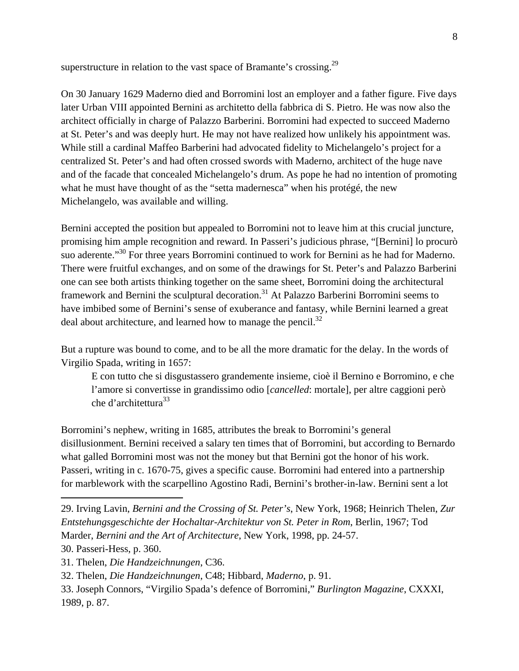superstructure in relation to the vast space of Bramante's crossing.<sup>29</sup>

On 30 January 1629 Maderno died and Borromini lost an employer and a father figure. Five days later Urban VIII appointed Bernini as architetto della fabbrica di S. Pietro. He was now also the architect officially in charge of Palazzo Barberini. Borromini had expected to succeed Maderno at St. Peter's and was deeply hurt. He may not have realized how unlikely his appointment was. While still a cardinal Maffeo Barberini had advocated fidelity to Michelangelo's project for a centralized St. Peter's and had often crossed swords with Maderno, architect of the huge nave and of the facade that concealed Michelangelo's drum. As pope he had no intention of promoting what he must have thought of as the "setta madernesca" when his protégé, the new Michelangelo, was available and willing.

Bernini accepted the position but appealed to Borromini not to leave him at this crucial juncture, promising him ample recognition and reward. In Passeri's judicious phrase, "[Bernini] lo procurò suo aderente."<sup>30</sup> For three years Borromini continued to work for Bernini as he had for Maderno. There were fruitful exchanges, and on some of the drawings for St. Peter's and Palazzo Barberini one can see both artists thinking together on the same sheet, Borromini doing the architectural framework and Bernini the sculptural decoration.<sup>31</sup> At Palazzo Barberini Borromini seems to have imbibed some of Bernini's sense of exuberance and fantasy, while Bernini learned a great deal about architecture, and learned how to manage the pencil.<sup>32</sup>

But a rupture was bound to come, and to be all the more dramatic for the delay. In the words of Virgilio Spada, writing in 1657:

E con tutto che si disgustassero grandemente insieme, cioè il Bernino e Borromino, e che l'amore si convertisse in grandissimo odio [*cancelled*: mortale], per altre caggioni però che d'architettura<sup>33</sup>

Borromini's nephew, writing in 1685, attributes the break to Borromini's general disillusionment. Bernini received a salary ten times that of Borromini, but according to Bernardo what galled Borromini most was not the money but that Bernini got the honor of his work. Passeri, writing in c. 1670-75, gives a specific cause. Borromini had entered into a partnership for marblework with the scarpellino Agostino Radi, Bernini's brother-in-law. Bernini sent a lot

1

<sup>29.</sup> Irving Lavin, *Bernini and the Crossing of St. Peter's*, New York, 1968; Heinrich Thelen, *Zur Entstehungsgeschichte der Hochaltar-Architektur von St. Peter in Rom*, Berlin, 1967; Tod Marder, *Bernini and the Art of Architecture*, New York, 1998, pp. 24-57.

<sup>30.</sup> Passeri-Hess, p. 360.

<sup>31.</sup> Thelen, *Die Handzeichnungen*, C36.

<sup>32.</sup> Thelen, *Die Handzeichnungen*, C48; Hibbard, *Maderno*, p. 91.

<sup>33.</sup> Joseph Connors, "Virgilio Spada's defence of Borromini," *Burlington Magazine*, CXXXI, 1989, p. 87.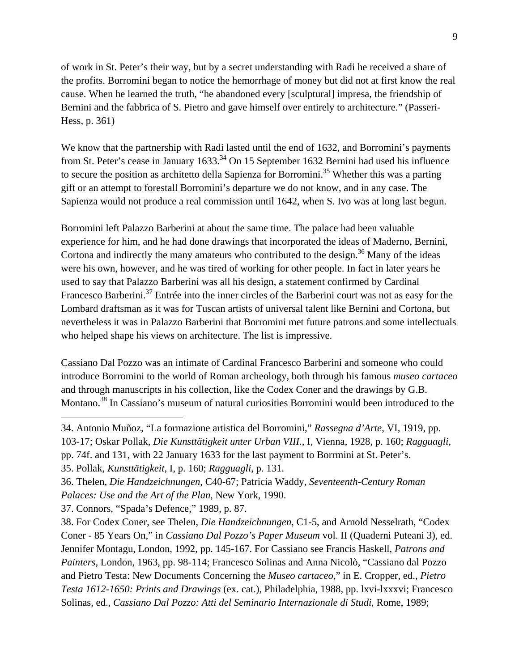of work in St. Peter's their way, but by a secret understanding with Radi he received a share of the profits. Borromini began to notice the hemorrhage of money but did not at first know the real cause. When he learned the truth, "he abandoned every [sculptural] impresa, the friendship of Bernini and the fabbrica of S. Pietro and gave himself over entirely to architecture." (Passeri-Hess, p. 361)

We know that the partnership with Radi lasted until the end of 1632, and Borromini's payments from St. Peter's cease in January 1633.<sup>34</sup> On 15 September 1632 Bernini had used his influence to secure the position as architetto della Sapienza for Borromini.<sup>35</sup> Whether this was a parting gift or an attempt to forestall Borromini's departure we do not know, and in any case. The Sapienza would not produce a real commission until 1642, when S. Ivo was at long last begun.

Borromini left Palazzo Barberini at about the same time. The palace had been valuable experience for him, and he had done drawings that incorporated the ideas of Maderno, Bernini, Cortona and indirectly the many amateurs who contributed to the design.<sup>36</sup> Many of the ideas were his own, however, and he was tired of working for other people. In fact in later years he used to say that Palazzo Barberini was all his design, a statement confirmed by Cardinal Francesco Barberini.<sup>37</sup> Entrée into the inner circles of the Barberini court was not as easy for the Lombard draftsman as it was for Tuscan artists of universal talent like Bernini and Cortona, but nevertheless it was in Palazzo Barberini that Borromini met future patrons and some intellectuals who helped shape his views on architecture. The list is impressive.

Cassiano Dal Pozzo was an intimate of Cardinal Francesco Barberini and someone who could introduce Borromini to the world of Roman archeology, both through his famous *museo cartaceo* and through manuscripts in his collection, like the Codex Coner and the drawings by G.B. Montano.<sup>38</sup> In Cassiano's museum of natural curiosities Borromini would been introduced to the

34. Antonio Muñoz, "La formazione artistica del Borromini," *Rassegna d'Arte*, VI, 1919, pp. 103-17; Oskar Pollak, *Die Kunsttätigkeit unter Urban VIII.*, I, Vienna, 1928, p. 160; *Ragguagli*, pp. 74f. and 131, with 22 January 1633 for the last payment to Borrmini at St. Peter's.

35. Pollak, *Kunsttätigkeit*, I, p. 160; *Ragguagli*, p. 131.

37. Connors, "Spada's Defence," 1989, p. 87.

 $\overline{a}$ 

38. For Codex Coner, see Thelen, *Die Handzeichnungen*, C1-5, and Arnold Nesselrath, "Codex Coner - 85 Years On," in *Cassiano Dal Pozzo's Paper Museum* vol. II (Quaderni Puteani 3), ed. Jennifer Montagu, London, 1992, pp. 145-167. For Cassiano see Francis Haskell, *Patrons and Painters*, London, 1963, pp. 98-114; Francesco Solinas and Anna Nicolò, "Cassiano dal Pozzo and Pietro Testa: New Documents Concerning the *Museo cartaceo*," in E. Cropper, ed., *Pietro Testa 1612-1650: Prints and Drawings* (ex. cat.), Philadelphia, 1988, pp. lxvi-lxxxvi; Francesco Solinas, ed., *Cassiano Dal Pozzo: Atti del Seminario Internazionale di Studi*, Rome, 1989;

<sup>36.</sup> Thelen, *Die Handzeichnungen*, C40-67; Patricia Waddy, *Seventeenth-Century Roman Palaces: Use and the Art of the Plan*, New York, 1990.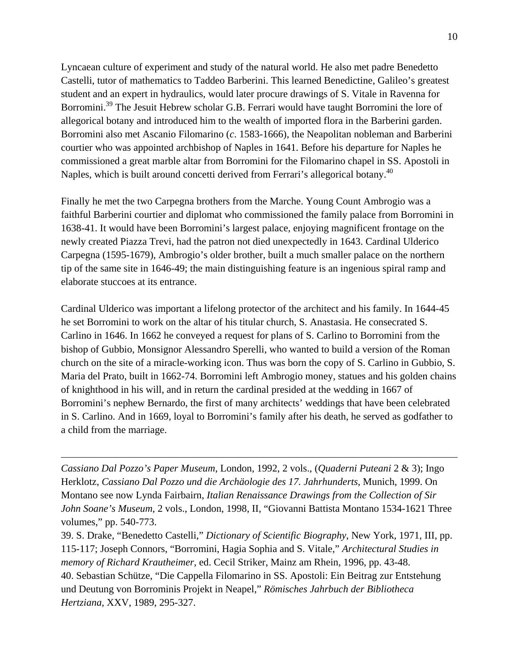Lyncaean culture of experiment and study of the natural world. He also met padre Benedetto Castelli, tutor of mathematics to Taddeo Barberini. This learned Benedictine, Galileo's greatest student and an expert in hydraulics, would later procure drawings of S. Vitale in Ravenna for Borromini.<sup>39</sup> The Jesuit Hebrew scholar G.B. Ferrari would have taught Borromini the lore of allegorical botany and introduced him to the wealth of imported flora in the Barberini garden. Borromini also met Ascanio Filomarino (*c*. 1583-1666), the Neapolitan nobleman and Barberini courtier who was appointed archbishop of Naples in 1641. Before his departure for Naples he commissioned a great marble altar from Borromini for the Filomarino chapel in SS. Apostoli in Naples, which is built around concetti derived from Ferrari's allegorical botany.<sup>40</sup>

Finally he met the two Carpegna brothers from the Marche. Young Count Ambrogio was a faithful Barberini courtier and diplomat who commissioned the family palace from Borromini in 1638-41. It would have been Borromini's largest palace, enjoying magnificent frontage on the newly created Piazza Trevi, had the patron not died unexpectedly in 1643. Cardinal Ulderico Carpegna (1595-1679), Ambrogio's older brother, built a much smaller palace on the northern tip of the same site in 1646-49; the main distinguishing feature is an ingenious spiral ramp and elaborate stuccoes at its entrance.

Cardinal Ulderico was important a lifelong protector of the architect and his family. In 1644-45 he set Borromini to work on the altar of his titular church, S. Anastasia. He consecrated S. Carlino in 1646. In 1662 he conveyed a request for plans of S. Carlino to Borromini from the bishop of Gubbio, Monsignor Alessandro Sperelli, who wanted to build a version of the Roman church on the site of a miracle-working icon. Thus was born the copy of S. Carlino in Gubbio, S. Maria del Prato, built in 1662-74. Borromini left Ambrogio money, statues and his golden chains of knighthood in his will, and in return the cardinal presided at the wedding in 1667 of Borromini's nephew Bernardo, the first of many architects' weddings that have been celebrated in S. Carlino. And in 1669, loyal to Borromini's family after his death, he served as godfather to a child from the marriage.

*Cassiano Dal Pozzo's Paper Museum*, London, 1992, 2 vols., (*Quaderni Puteani* 2 & 3); Ingo Herklotz, *Cassiano Dal Pozzo und die Archäologie des 17. Jahrhunderts*, Munich, 1999. On Montano see now Lynda Fairbairn, *Italian Renaissance Drawings from the Collection of Sir John Soane's Museum*, 2 vols., London, 1998, II, "Giovanni Battista Montano 1534-1621 Three volumes," pp. 540-773.

 $\overline{a}$ 

39. S. Drake, "Benedetto Castelli," *Dictionary of Scientific Biography*, New York, 1971, III, pp. 115-117; Joseph Connors, "Borromini, Hagia Sophia and S. Vitale," *Architectural Studies in memory of Richard Krautheimer*, ed. Cecil Striker, Mainz am Rhein, 1996, pp. 43-48. 40. Sebastian Schütze, "Die Cappella Filomarino in SS. Apostoli: Ein Beitrag zur Entstehung und Deutung von Borrominis Projekt in Neapel," *Römisches Jahrbuch der Bibliotheca Hertziana*, XXV, 1989, 295-327.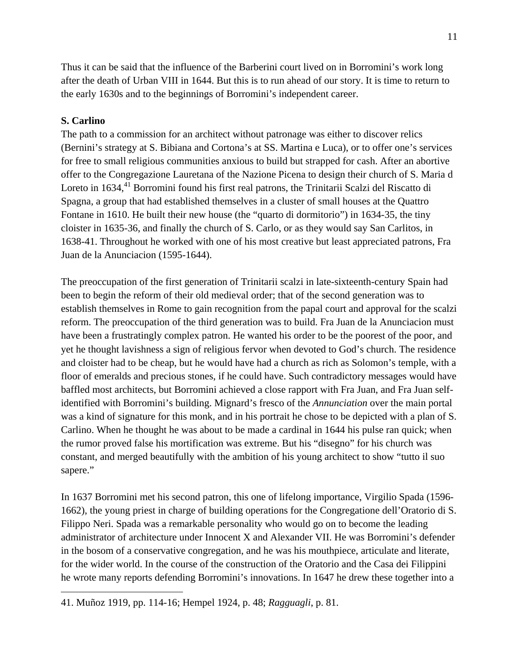Thus it can be said that the influence of the Barberini court lived on in Borromini's work long after the death of Urban VIII in 1644. But this is to run ahead of our story. It is time to return to the early 1630s and to the beginnings of Borromini's independent career.

## **S. Carlino**

 $\overline{a}$ 

The path to a commission for an architect without patronage was either to discover relics (Bernini's strategy at S. Bibiana and Cortona's at SS. Martina e Luca), or to offer one's services for free to small religious communities anxious to build but strapped for cash. After an abortive offer to the Congregazione Lauretana of the Nazione Picena to design their church of S. Maria d Loreto in 1634,<sup>41</sup> Borromini found his first real patrons, the Trinitarii Scalzi del Riscatto di Spagna, a group that had established themselves in a cluster of small houses at the Quattro Fontane in 1610. He built their new house (the "quarto di dormitorio") in 1634-35, the tiny cloister in 1635-36, and finally the church of S. Carlo, or as they would say San Carlitos, in 1638-41. Throughout he worked with one of his most creative but least appreciated patrons, Fra Juan de la Anunciacion (1595-1644).

The preoccupation of the first generation of Trinitarii scalzi in late-sixteenth-century Spain had been to begin the reform of their old medieval order; that of the second generation was to establish themselves in Rome to gain recognition from the papal court and approval for the scalzi reform. The preoccupation of the third generation was to build. Fra Juan de la Anunciacion must have been a frustratingly complex patron. He wanted his order to be the poorest of the poor, and yet he thought lavishness a sign of religious fervor when devoted to God's church. The residence and cloister had to be cheap, but he would have had a church as rich as Solomon's temple, with a floor of emeralds and precious stones, if he could have. Such contradictory messages would have baffled most architects, but Borromini achieved a close rapport with Fra Juan, and Fra Juan selfidentified with Borromini's building. Mignard's fresco of the *Annunciation* over the main portal was a kind of signature for this monk, and in his portrait he chose to be depicted with a plan of S. Carlino. When he thought he was about to be made a cardinal in 1644 his pulse ran quick; when the rumor proved false his mortification was extreme. But his "disegno" for his church was constant, and merged beautifully with the ambition of his young architect to show "tutto il suo sapere."

In 1637 Borromini met his second patron, this one of lifelong importance, Virgilio Spada (1596- 1662), the young priest in charge of building operations for the Congregatione dell'Oratorio di S. Filippo Neri. Spada was a remarkable personality who would go on to become the leading administrator of architecture under Innocent X and Alexander VII. He was Borromini's defender in the bosom of a conservative congregation, and he was his mouthpiece, articulate and literate, for the wider world. In the course of the construction of the Oratorio and the Casa dei Filippini he wrote many reports defending Borromini's innovations. In 1647 he drew these together into a

<sup>41.</sup> Muñoz 1919, pp. 114-16; Hempel 1924, p. 48; *Ragguagli*, p. 81.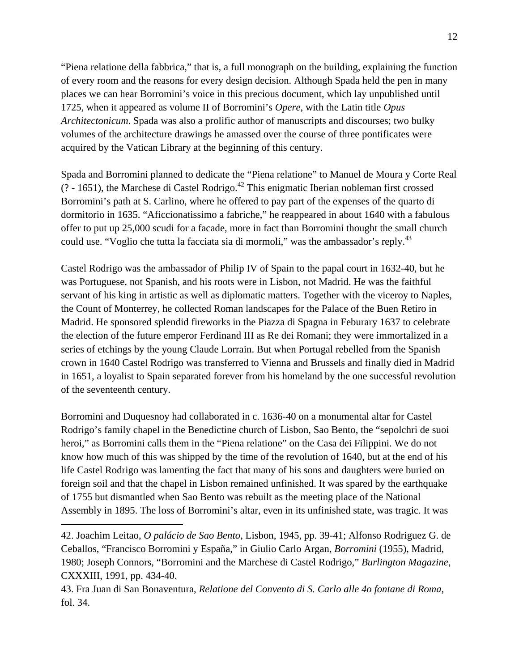"Piena relatione della fabbrica," that is, a full monograph on the building, explaining the function of every room and the reasons for every design decision. Although Spada held the pen in many places we can hear Borromini's voice in this precious document, which lay unpublished until 1725, when it appeared as volume II of Borromini's *Opere*, with the Latin title *Opus Architectonicum*. Spada was also a prolific author of manuscripts and discourses; two bulky volumes of the architecture drawings he amassed over the course of three pontificates were acquired by the Vatican Library at the beginning of this century.

Spada and Borromini planned to dedicate the "Piena relatione" to Manuel de Moura y Corte Real  $(2 - 1651)$ , the Marchese di Castel Rodrigo.<sup>42</sup> This enigmatic Iberian nobleman first crossed Borromini's path at S. Carlino, where he offered to pay part of the expenses of the quarto di dormitorio in 1635. "Aficcionatissimo a fabriche," he reappeared in about 1640 with a fabulous offer to put up 25,000 scudi for a facade, more in fact than Borromini thought the small church could use. "Voglio che tutta la facciata sia di mormoli," was the ambassador's reply.<sup>43</sup>

Castel Rodrigo was the ambassador of Philip IV of Spain to the papal court in 1632-40, but he was Portuguese, not Spanish, and his roots were in Lisbon, not Madrid. He was the faithful servant of his king in artistic as well as diplomatic matters. Together with the viceroy to Naples, the Count of Monterrey, he collected Roman landscapes for the Palace of the Buen Retiro in Madrid. He sponsored splendid fireworks in the Piazza di Spagna in Feburary 1637 to celebrate the election of the future emperor Ferdinand III as Re dei Romani; they were immortalized in a series of etchings by the young Claude Lorrain. But when Portugal rebelled from the Spanish crown in 1640 Castel Rodrigo was transferred to Vienna and Brussels and finally died in Madrid in 1651, a loyalist to Spain separated forever from his homeland by the one successful revolution of the seventeenth century.

Borromini and Duquesnoy had collaborated in c. 1636-40 on a monumental altar for Castel Rodrigo's family chapel in the Benedictine church of Lisbon, Sao Bento, the "sepolchri de suoi heroi," as Borromini calls them in the "Piena relatione" on the Casa dei Filippini. We do not know how much of this was shipped by the time of the revolution of 1640, but at the end of his life Castel Rodrigo was lamenting the fact that many of his sons and daughters were buried on foreign soil and that the chapel in Lisbon remained unfinished. It was spared by the earthquake of 1755 but dismantled when Sao Bento was rebuilt as the meeting place of the National Assembly in 1895. The loss of Borromini's altar, even in its unfinished state, was tragic. It was

1

<sup>42.</sup> Joachim Leitao, *O palácio de Sao Bento*, Lisbon, 1945, pp. 39-41; Alfonso Rodriguez G. de Ceballos, "Francisco Borromini y España," in Giulio Carlo Argan, *Borromini* (1955), Madrid, 1980; Joseph Connors, "Borromini and the Marchese di Castel Rodrigo," *Burlington Magazine*, CXXXIII, 1991, pp. 434-40.

<sup>43.</sup> Fra Juan di San Bonaventura, *Relatione del Convento di S. Carlo alle 4o fontane di Roma*, fol. 34.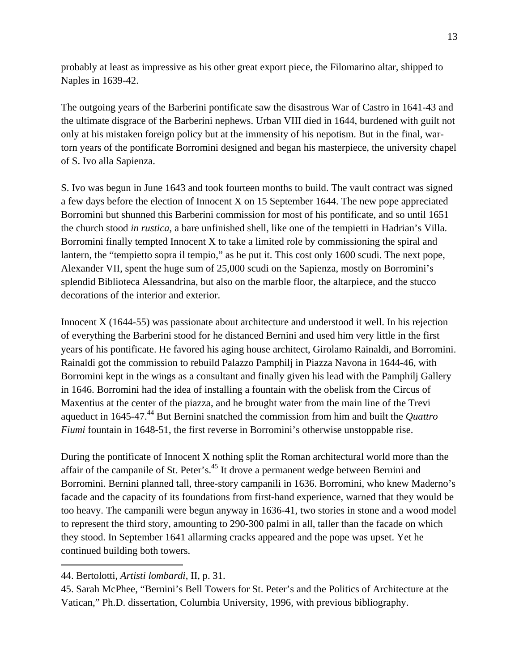probably at least as impressive as his other great export piece, the Filomarino altar, shipped to Naples in 1639-42.

The outgoing years of the Barberini pontificate saw the disastrous War of Castro in 1641-43 and the ultimate disgrace of the Barberini nephews. Urban VIII died in 1644, burdened with guilt not only at his mistaken foreign policy but at the immensity of his nepotism. But in the final, wartorn years of the pontificate Borromini designed and began his masterpiece, the university chapel of S. Ivo alla Sapienza.

S. Ivo was begun in June 1643 and took fourteen months to build. The vault contract was signed a few days before the election of Innocent X on 15 September 1644. The new pope appreciated Borromini but shunned this Barberini commission for most of his pontificate, and so until 1651 the church stood *in rustica*, a bare unfinished shell, like one of the tempietti in Hadrian's Villa. Borromini finally tempted Innocent X to take a limited role by commissioning the spiral and lantern, the "tempietto sopra il tempio," as he put it. This cost only 1600 scudi. The next pope, Alexander VII, spent the huge sum of 25,000 scudi on the Sapienza, mostly on Borromini's splendid Biblioteca Alessandrina, but also on the marble floor, the altarpiece, and the stucco decorations of the interior and exterior.

Innocent X (1644-55) was passionate about architecture and understood it well. In his rejection of everything the Barberini stood for he distanced Bernini and used him very little in the first years of his pontificate. He favored his aging house architect, Girolamo Rainaldi, and Borromini. Rainaldi got the commission to rebuild Palazzo Pamphilj in Piazza Navona in 1644-46, with Borromini kept in the wings as a consultant and finally given his lead with the Pamphilj Gallery in 1646. Borromini had the idea of installing a fountain with the obelisk from the Circus of Maxentius at the center of the piazza, and he brought water from the main line of the Trevi aqueduct in 1645-47.<sup>44</sup> But Bernini snatched the commission from him and built the *Quattro Fiumi* fountain in 1648-51, the first reverse in Borromini's otherwise unstoppable rise.

During the pontificate of Innocent X nothing split the Roman architectural world more than the affair of the campanile of St. Peter's.<sup>45</sup> It drove a permanent wedge between Bernini and Borromini. Bernini planned tall, three-story campanili in 1636. Borromini, who knew Maderno's facade and the capacity of its foundations from first-hand experience, warned that they would be too heavy. The campanili were begun anyway in 1636-41, two stories in stone and a wood model to represent the third story, amounting to 290-300 palmi in all, taller than the facade on which they stood. In September 1641 allarming cracks appeared and the pope was upset. Yet he continued building both towers.

<sup>44.</sup> Bertolotti, *Artisti lombardi*, II, p. 31.

<sup>45.</sup> Sarah McPhee, "Bernini's Bell Towers for St. Peter's and the Politics of Architecture at the Vatican," Ph.D. dissertation, Columbia University, 1996, with previous bibliography.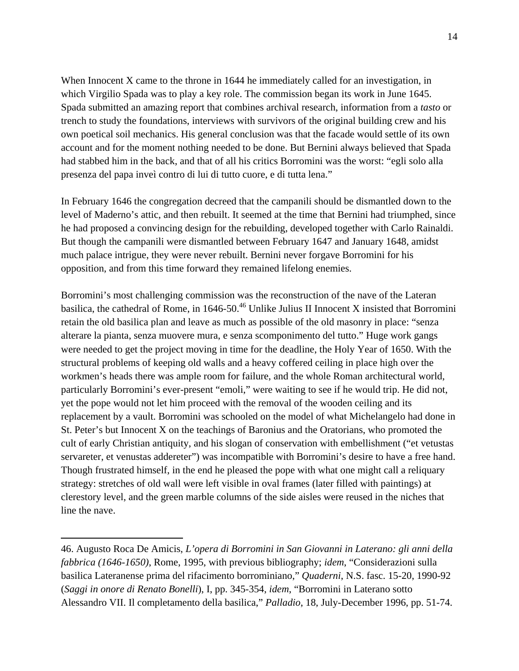When Innocent X came to the throne in 1644 he immediately called for an investigation, in which Virgilio Spada was to play a key role. The commission began its work in June 1645. Spada submitted an amazing report that combines archival research, information from a *tasto* or trench to study the foundations, interviews with survivors of the original building crew and his own poetical soil mechanics. His general conclusion was that the facade would settle of its own account and for the moment nothing needed to be done. But Bernini always believed that Spada had stabbed him in the back, and that of all his critics Borromini was the worst: "egli solo alla presenza del papa inveì contro di lui di tutto cuore, e di tutta lena."

In February 1646 the congregation decreed that the campanili should be dismantled down to the level of Maderno's attic, and then rebuilt. It seemed at the time that Bernini had triumphed, since he had proposed a convincing design for the rebuilding, developed together with Carlo Rainaldi. But though the campanili were dismantled between February 1647 and January 1648, amidst much palace intrigue, they were never rebuilt. Bernini never forgave Borromini for his opposition, and from this time forward they remained lifelong enemies.

Borromini's most challenging commission was the reconstruction of the nave of the Lateran basilica, the cathedral of Rome, in  $1646-50^{46}$  Unlike Julius II Innocent X insisted that Borromini retain the old basilica plan and leave as much as possible of the old masonry in place: "senza alterare la pianta, senza muovere mura, e senza scomponimento del tutto." Huge work gangs were needed to get the project moving in time for the deadline, the Holy Year of 1650. With the structural problems of keeping old walls and a heavy coffered ceiling in place high over the workmen's heads there was ample room for failure, and the whole Roman architectural world, particularly Borromini's ever-present "emoli," were waiting to see if he would trip. He did not, yet the pope would not let him proceed with the removal of the wooden ceiling and its replacement by a vault. Borromini was schooled on the model of what Michelangelo had done in St. Peter's but Innocent X on the teachings of Baronius and the Oratorians, who promoted the cult of early Christian antiquity, and his slogan of conservation with embellishment ("et vetustas servareter, et venustas addereter") was incompatible with Borromini's desire to have a free hand. Though frustrated himself, in the end he pleased the pope with what one might call a reliquary strategy: stretches of old wall were left visible in oval frames (later filled with paintings) at clerestory level, and the green marble columns of the side aisles were reused in the niches that line the nave.

<sup>46.</sup> Augusto Roca De Amicis, *L'opera di Borromini in San Giovanni in Laterano: gli anni della fabbrica (1646-1650)*, Rome, 1995, with previous bibliography; *idem*, "Considerazioni sulla basilica Lateranense prima del rifacimento borrominiano," *Quaderni*, N.S. fasc. 15-20, 1990-92 (*Saggi in onore di Renato Bonelli*), I, pp. 345-354, *idem*, "Borromini in Laterano sotto Alessandro VII. Il completamento della basilica," *Palladio*, 18, July-December 1996, pp. 51-74.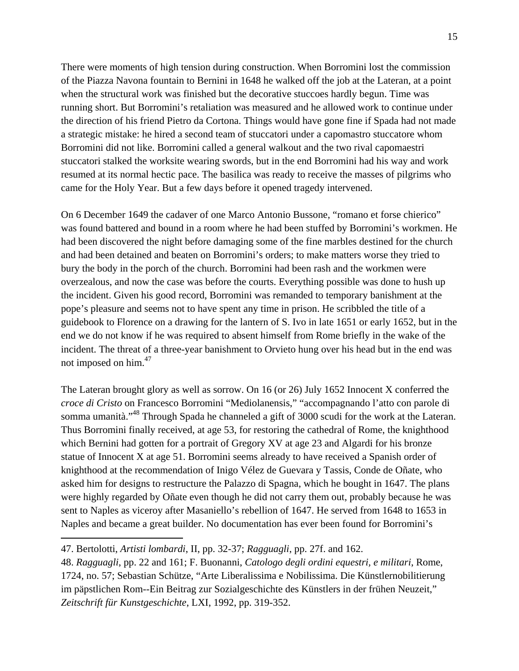There were moments of high tension during construction. When Borromini lost the commission of the Piazza Navona fountain to Bernini in 1648 he walked off the job at the Lateran, at a point when the structural work was finished but the decorative stuccoes hardly begun. Time was running short. But Borromini's retaliation was measured and he allowed work to continue under the direction of his friend Pietro da Cortona. Things would have gone fine if Spada had not made a strategic mistake: he hired a second team of stuccatori under a capomastro stuccatore whom Borromini did not like. Borromini called a general walkout and the two rival capomaestri stuccatori stalked the worksite wearing swords, but in the end Borromini had his way and work resumed at its normal hectic pace. The basilica was ready to receive the masses of pilgrims who came for the Holy Year. But a few days before it opened tragedy intervened.

On 6 December 1649 the cadaver of one Marco Antonio Bussone, "romano et forse chierico" was found battered and bound in a room where he had been stuffed by Borromini's workmen. He had been discovered the night before damaging some of the fine marbles destined for the church and had been detained and beaten on Borromini's orders; to make matters worse they tried to bury the body in the porch of the church. Borromini had been rash and the workmen were overzealous, and now the case was before the courts. Everything possible was done to hush up the incident. Given his good record, Borromini was remanded to temporary banishment at the pope's pleasure and seems not to have spent any time in prison. He scribbled the title of a guidebook to Florence on a drawing for the lantern of S. Ivo in late 1651 or early 1652, but in the end we do not know if he was required to absent himself from Rome briefly in the wake of the incident. The threat of a three-year banishment to Orvieto hung over his head but in the end was not imposed on him.<sup>47</sup>

The Lateran brought glory as well as sorrow. On 16 (or 26) July 1652 Innocent X conferred the *croce di Cristo* on Francesco Borromini "Mediolanensis," "accompagnando l'atto con parole di somma umanità."<sup>48</sup> Through Spada he channeled a gift of 3000 scudi for the work at the Lateran. Thus Borromini finally received, at age 53, for restoring the cathedral of Rome, the knighthood which Bernini had gotten for a portrait of Gregory XV at age 23 and Algardi for his bronze statue of Innocent X at age 51. Borromini seems already to have received a Spanish order of knighthood at the recommendation of Inigo Vélez de Guevara y Tassis, Conde de Oñate, who asked him for designs to restructure the Palazzo di Spagna, which he bought in 1647. The plans were highly regarded by Oñate even though he did not carry them out, probably because he was sent to Naples as viceroy after Masaniello's rebellion of 1647. He served from 1648 to 1653 in Naples and became a great builder. No documentation has ever been found for Borromini's

1

48. *Ragguagli*, pp. 22 and 161; F. Buonanni, *Catologo degli ordini equestri, e militari*, Rome, 1724, no. 57; Sebastian Schütze, "Arte Liberalissima e Nobilissima. Die Künstlernobilitierung im päpstlichen Rom--Ein Beitrag zur Sozialgeschichte des Künstlers in der frühen Neuzeit," *Zeitschrift für Kunstgeschichte*, LXI, 1992, pp. 319-352.

<sup>47.</sup> Bertolotti, *Artisti lombardi*, II, pp. 32-37; *Ragguagli*, pp. 27f. and 162.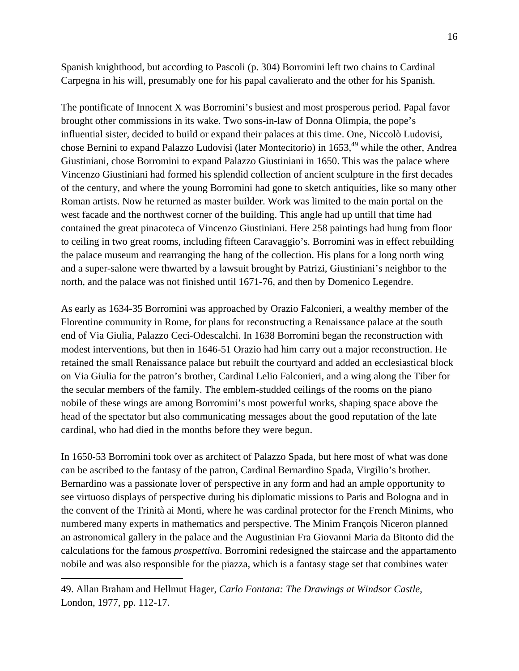Spanish knighthood, but according to Pascoli (p. 304) Borromini left two chains to Cardinal Carpegna in his will, presumably one for his papal cavalierato and the other for his Spanish.

The pontificate of Innocent X was Borromini's busiest and most prosperous period. Papal favor brought other commissions in its wake. Two sons-in-law of Donna Olimpia, the pope's influential sister, decided to build or expand their palaces at this time. One, Niccolò Ludovisi, chose Bernini to expand Palazzo Ludovisi (later Montecitorio) in 1653,<sup>49</sup> while the other, Andrea Giustiniani, chose Borromini to expand Palazzo Giustiniani in 1650. This was the palace where Vincenzo Giustiniani had formed his splendid collection of ancient sculpture in the first decades of the century, and where the young Borromini had gone to sketch antiquities, like so many other Roman artists. Now he returned as master builder. Work was limited to the main portal on the west facade and the northwest corner of the building. This angle had up untill that time had contained the great pinacoteca of Vincenzo Giustiniani. Here 258 paintings had hung from floor to ceiling in two great rooms, including fifteen Caravaggio's. Borromini was in effect rebuilding the palace museum and rearranging the hang of the collection. His plans for a long north wing and a super-salone were thwarted by a lawsuit brought by Patrizi, Giustiniani's neighbor to the north, and the palace was not finished until 1671-76, and then by Domenico Legendre.

As early as 1634-35 Borromini was approached by Orazio Falconieri, a wealthy member of the Florentine community in Rome, for plans for reconstructing a Renaissance palace at the south end of Via Giulia, Palazzo Ceci-Odescalchi. In 1638 Borromini began the reconstruction with modest interventions, but then in 1646-51 Orazio had him carry out a major reconstruction. He retained the small Renaissance palace but rebuilt the courtyard and added an ecclesiastical block on Via Giulia for the patron's brother, Cardinal Lelio Falconieri, and a wing along the Tiber for the secular members of the family. The emblem-studded ceilings of the rooms on the piano nobile of these wings are among Borromini's most powerful works, shaping space above the head of the spectator but also communicating messages about the good reputation of the late cardinal, who had died in the months before they were begun.

In 1650-53 Borromini took over as architect of Palazzo Spada, but here most of what was done can be ascribed to the fantasy of the patron, Cardinal Bernardino Spada, Virgilio's brother. Bernardino was a passionate lover of perspective in any form and had an ample opportunity to see virtuoso displays of perspective during his diplomatic missions to Paris and Bologna and in the convent of the Trinità ai Monti, where he was cardinal protector for the French Minims, who numbered many experts in mathematics and perspective. The Minim François Niceron planned an astronomical gallery in the palace and the Augustinian Fra Giovanni Maria da Bitonto did the calculations for the famous *prospettiva*. Borromini redesigned the staircase and the appartamento nobile and was also responsible for the piazza, which is a fantasy stage set that combines water

<sup>49.</sup> Allan Braham and Hellmut Hager, *Carlo Fontana: The Drawings at Windsor Castle*, London, 1977, pp. 112-17.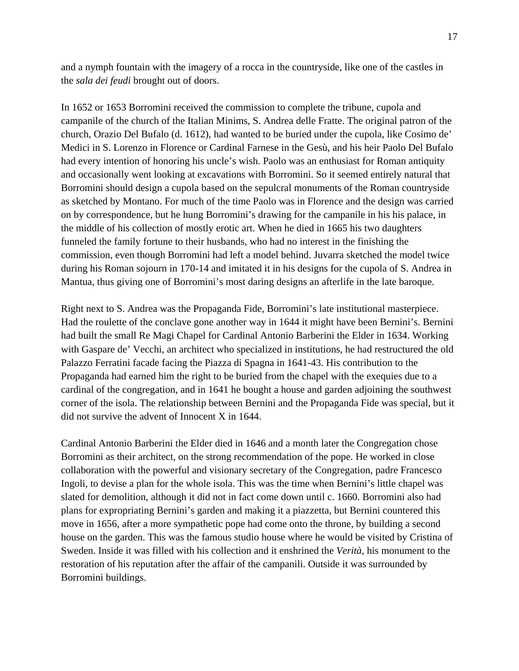and a nymph fountain with the imagery of a rocca in the countryside, like one of the castles in the *sala dei feudi* brought out of doors.

In 1652 or 1653 Borromini received the commission to complete the tribune, cupola and campanile of the church of the Italian Minims, S. Andrea delle Fratte. The original patron of the church, Orazio Del Bufalo (d. 1612), had wanted to be buried under the cupola, like Cosimo de' Medici in S. Lorenzo in Florence or Cardinal Farnese in the Gesù, and his heir Paolo Del Bufalo had every intention of honoring his uncle's wish. Paolo was an enthusiast for Roman antiquity and occasionally went looking at excavations with Borromini. So it seemed entirely natural that Borromini should design a cupola based on the sepulcral monuments of the Roman countryside as sketched by Montano. For much of the time Paolo was in Florence and the design was carried on by correspondence, but he hung Borromini's drawing for the campanile in his his palace, in the middle of his collection of mostly erotic art. When he died in 1665 his two daughters funneled the family fortune to their husbands, who had no interest in the finishing the commission, even though Borromini had left a model behind. Juvarra sketched the model twice during his Roman sojourn in 170-14 and imitated it in his designs for the cupola of S. Andrea in Mantua, thus giving one of Borromini's most daring designs an afterlife in the late baroque.

Right next to S. Andrea was the Propaganda Fide, Borromini's late institutional masterpiece. Had the roulette of the conclave gone another way in 1644 it might have been Bernini's. Bernini had built the small Re Magi Chapel for Cardinal Antonio Barberini the Elder in 1634. Working with Gaspare de' Vecchi, an architect who specialized in institutions, he had restructured the old Palazzo Ferratini facade facing the Piazza di Spagna in 1641-43. His contribution to the Propaganda had earned him the right to be buried from the chapel with the exequies due to a cardinal of the congregation, and in 1641 he bought a house and garden adjoining the southwest corner of the isola. The relationship between Bernini and the Propaganda Fide was special, but it did not survive the advent of Innocent X in 1644.

Cardinal Antonio Barberini the Elder died in 1646 and a month later the Congregation chose Borromini as their architect, on the strong recommendation of the pope. He worked in close collaboration with the powerful and visionary secretary of the Congregation, padre Francesco Ingoli, to devise a plan for the whole isola. This was the time when Bernini's little chapel was slated for demolition, although it did not in fact come down until c. 1660. Borromini also had plans for expropriating Bernini's garden and making it a piazzetta, but Bernini countered this move in 1656, after a more sympathetic pope had come onto the throne, by building a second house on the garden. This was the famous studio house where he would be visited by Cristina of Sweden. Inside it was filled with his collection and it enshrined the *Verità*, his monument to the restoration of his reputation after the affair of the campanili. Outside it was surrounded by Borromini buildings.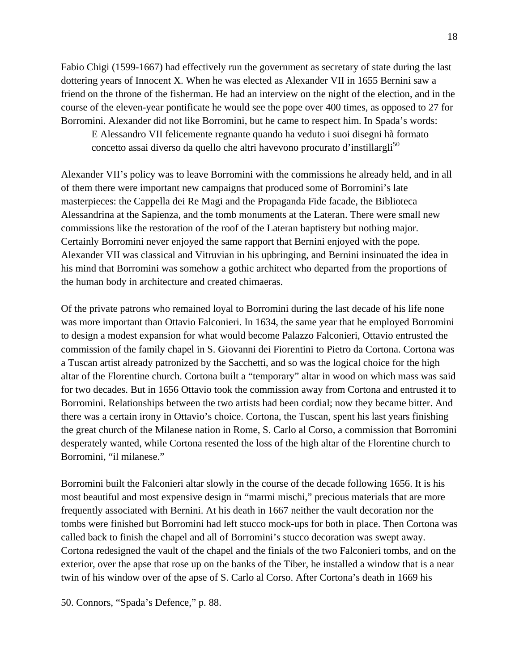Fabio Chigi (1599-1667) had effectively run the government as secretary of state during the last dottering years of Innocent X. When he was elected as Alexander VII in 1655 Bernini saw a friend on the throne of the fisherman. He had an interview on the night of the election, and in the course of the eleven-year pontificate he would see the pope over 400 times, as opposed to 27 for Borromini. Alexander did not like Borromini, but he came to respect him. In Spada's words:

E Alessandro VII felicemente regnante quando ha veduto i suoi disegni hà formato concetto assai diverso da quello che altri havevono procurato d'instillargli<sup>50</sup>

Alexander VII's policy was to leave Borromini with the commissions he already held, and in all of them there were important new campaigns that produced some of Borromini's late masterpieces: the Cappella dei Re Magi and the Propaganda Fide facade, the Biblioteca Alessandrina at the Sapienza, and the tomb monuments at the Lateran. There were small new commissions like the restoration of the roof of the Lateran baptistery but nothing major. Certainly Borromini never enjoyed the same rapport that Bernini enjoyed with the pope. Alexander VII was classical and Vitruvian in his upbringing, and Bernini insinuated the idea in his mind that Borromini was somehow a gothic architect who departed from the proportions of the human body in architecture and created chimaeras.

Of the private patrons who remained loyal to Borromini during the last decade of his life none was more important than Ottavio Falconieri. In 1634, the same year that he employed Borromini to design a modest expansion for what would become Palazzo Falconieri, Ottavio entrusted the commission of the family chapel in S. Giovanni dei Fiorentini to Pietro da Cortona. Cortona was a Tuscan artist already patronized by the Sacchetti, and so was the logical choice for the high altar of the Florentine church. Cortona built a "temporary" altar in wood on which mass was said for two decades. But in 1656 Ottavio took the commission away from Cortona and entrusted it to Borromini. Relationships between the two artists had been cordial; now they became bitter. And there was a certain irony in Ottavio's choice. Cortona, the Tuscan, spent his last years finishing the great church of the Milanese nation in Rome, S. Carlo al Corso, a commission that Borromini desperately wanted, while Cortona resented the loss of the high altar of the Florentine church to Borromini, "il milanese."

Borromini built the Falconieri altar slowly in the course of the decade following 1656. It is his most beautiful and most expensive design in "marmi mischi," precious materials that are more frequently associated with Bernini. At his death in 1667 neither the vault decoration nor the tombs were finished but Borromini had left stucco mock-ups for both in place. Then Cortona was called back to finish the chapel and all of Borromini's stucco decoration was swept away. Cortona redesigned the vault of the chapel and the finials of the two Falconieri tombs, and on the exterior, over the apse that rose up on the banks of the Tiber, he installed a window that is a near twin of his window over of the apse of S. Carlo al Corso. After Cortona's death in 1669 his

<sup>50.</sup> Connors, "Spada's Defence," p. 88.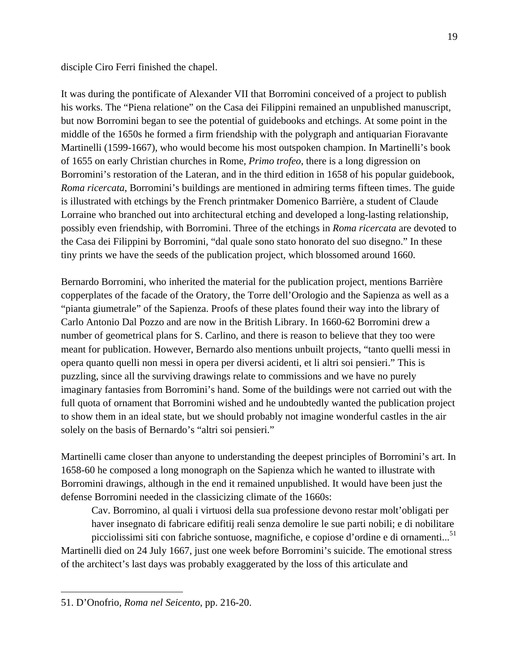disciple Ciro Ferri finished the chapel.

It was during the pontificate of Alexander VII that Borromini conceived of a project to publish his works. The "Piena relatione" on the Casa dei Filippini remained an unpublished manuscript, but now Borromini began to see the potential of guidebooks and etchings. At some point in the middle of the 1650s he formed a firm friendship with the polygraph and antiquarian Fioravante Martinelli (1599-1667), who would become his most outspoken champion. In Martinelli's book of 1655 on early Christian churches in Rome, *Primo trofeo*, there is a long digression on Borromini's restoration of the Lateran, and in the third edition in 1658 of his popular guidebook, *Roma ricercata*, Borromini's buildings are mentioned in admiring terms fifteen times. The guide is illustrated with etchings by the French printmaker Domenico Barrière, a student of Claude Lorraine who branched out into architectural etching and developed a long-lasting relationship, possibly even friendship, with Borromini. Three of the etchings in *Roma ricercata* are devoted to the Casa dei Filippini by Borromini, "dal quale sono stato honorato del suo disegno." In these tiny prints we have the seeds of the publication project, which blossomed around 1660.

Bernardo Borromini, who inherited the material for the publication project, mentions Barrière copperplates of the facade of the Oratory, the Torre dell'Orologio and the Sapienza as well as a "pianta giumetrale" of the Sapienza. Proofs of these plates found their way into the library of Carlo Antonio Dal Pozzo and are now in the British Library. In 1660-62 Borromini drew a number of geometrical plans for S. Carlino, and there is reason to believe that they too were meant for publication. However, Bernardo also mentions unbuilt projects, "tanto quelli messi in opera quanto quelli non messi in opera per diversi acidenti, et li altri soi pensieri." This is puzzling, since all the surviving drawings relate to commissions and we have no purely imaginary fantasies from Borromini's hand. Some of the buildings were not carried out with the full quota of ornament that Borromini wished and he undoubtedly wanted the publication project to show them in an ideal state, but we should probably not imagine wonderful castles in the air solely on the basis of Bernardo's "altri soi pensieri."

Martinelli came closer than anyone to understanding the deepest principles of Borromini's art. In 1658-60 he composed a long monograph on the Sapienza which he wanted to illustrate with Borromini drawings, although in the end it remained unpublished. It would have been just the defense Borromini needed in the classicizing climate of the 1660s:

Cav. Borromino, al quali i virtuosi della sua professione devono restar molt'obligati per haver insegnato di fabricare edifitij reali senza demolire le sue parti nobili; e di nobilitare

picciolissimi siti con fabriche sontuose, magnifiche, e copiose d'ordine e di ornamenti...<sup>51</sup> Martinelli died on 24 July 1667, just one week before Borromini's suicide. The emotional stress of the architect's last days was probably exaggerated by the loss of this articulate and

1

<sup>51.</sup> D'Onofrio, *Roma nel Seicento*, pp. 216-20.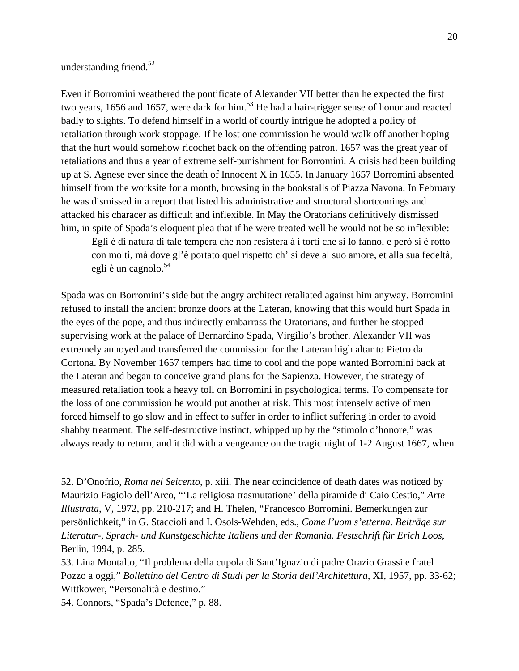understanding friend.<sup>52</sup>

Even if Borromini weathered the pontificate of Alexander VII better than he expected the first two years, 1656 and 1657, were dark for him.<sup>53</sup> He had a hair-trigger sense of honor and reacted badly to slights. To defend himself in a world of courtly intrigue he adopted a policy of retaliation through work stoppage. If he lost one commission he would walk off another hoping that the hurt would somehow ricochet back on the offending patron. 1657 was the great year of retaliations and thus a year of extreme self-punishment for Borromini. A crisis had been building up at S. Agnese ever since the death of Innocent X in 1655. In January 1657 Borromini absented himself from the worksite for a month, browsing in the bookstalls of Piazza Navona. In February he was dismissed in a report that listed his administrative and structural shortcomings and attacked his characer as difficult and inflexible. In May the Oratorians definitively dismissed him, in spite of Spada's eloquent plea that if he were treated well he would not be so inflexible:

Egli è di natura di tale tempera che non resistera à i torti che si lo fanno, e però si è rotto con molti, mà dove gl'è portato quel rispetto ch' si deve al suo amore, et alla sua fedeltà, egli è un cagnolo.<sup>54</sup>

Spada was on Borromini's side but the angry architect retaliated against him anyway. Borromini refused to install the ancient bronze doors at the Lateran, knowing that this would hurt Spada in the eyes of the pope, and thus indirectly embarrass the Oratorians, and further he stopped supervising work at the palace of Bernardino Spada, Virgilio's brother. Alexander VII was extremely annoyed and transferred the commission for the Lateran high altar to Pietro da Cortona. By November 1657 tempers had time to cool and the pope wanted Borromini back at the Lateran and began to conceive grand plans for the Sapienza. However, the strategy of measured retaliation took a heavy toll on Borromini in psychological terms. To compensate for the loss of one commission he would put another at risk. This most intensely active of men forced himself to go slow and in effect to suffer in order to inflict suffering in order to avoid shabby treatment. The self-destructive instinct, whipped up by the "stimolo d'honore," was always ready to return, and it did with a vengeance on the tragic night of 1-2 August 1667, when

<sup>52.</sup> D'Onofrio, *Roma nel Seicento*, p. xiii. The near coincidence of death dates was noticed by Maurizio Fagiolo dell'Arco, "'La religiosa trasmutatione' della piramide di Caio Cestio," *Arte Illustrata*, V, 1972, pp. 210-217; and H. Thelen, "Francesco Borromini. Bemerkungen zur persönlichkeit," in G. Staccioli and I. Osols-Wehden, eds., *Come l'uom s'etterna. Beiträge sur Literatur-, Sprach- und Kunstgeschichte Italiens und der Romania. Festschrift für Erich Loos*, Berlin, 1994, p. 285.

<sup>53.</sup> Lina Montalto, "Il problema della cupola di Sant'Ignazio di padre Orazio Grassi e fratel Pozzo a oggi," *Bollettino del Centro di Studi per la Storia dell'Architettura*, XI, 1957, pp. 33-62; Wittkower, "Personalità e destino."

<sup>54.</sup> Connors, "Spada's Defence," p. 88.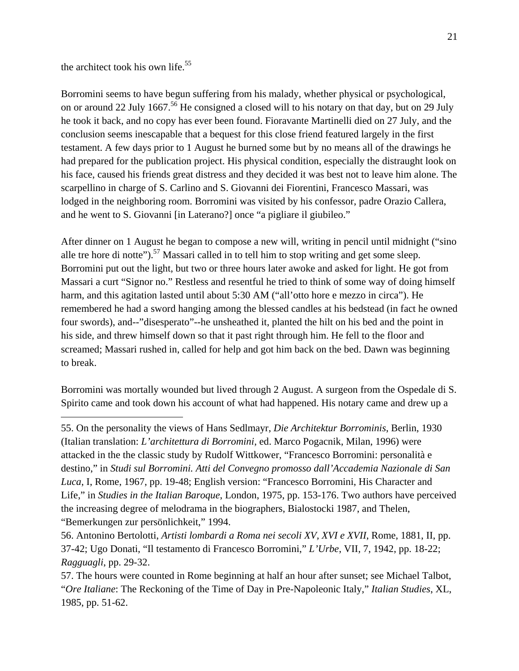the architect took his own life. $55$ 

 $\overline{a}$ 

Borromini seems to have begun suffering from his malady, whether physical or psychological, on or around 22 July 1667.<sup>56</sup> He consigned a closed will to his notary on that day, but on 29 July he took it back, and no copy has ever been found. Fioravante Martinelli died on 27 July, and the conclusion seems inescapable that a bequest for this close friend featured largely in the first testament. A few days prior to 1 August he burned some but by no means all of the drawings he had prepared for the publication project. His physical condition, especially the distraught look on his face, caused his friends great distress and they decided it was best not to leave him alone. The scarpellino in charge of S. Carlino and S. Giovanni dei Fiorentini, Francesco Massari, was lodged in the neighboring room. Borromini was visited by his confessor, padre Orazio Callera, and he went to S. Giovanni [in Laterano?] once "a pigliare il giubileo."

After dinner on 1 August he began to compose a new will, writing in pencil until midnight ("sino alle tre hore di notte").<sup>57</sup> Massari called in to tell him to stop writing and get some sleep. Borromini put out the light, but two or three hours later awoke and asked for light. He got from Massari a curt "Signor no." Restless and resentful he tried to think of some way of doing himself harm, and this agitation lasted until about 5:30 AM ("all'otto hore e mezzo in circa"). He remembered he had a sword hanging among the blessed candles at his bedstead (in fact he owned four swords), and--"disesperato"--he unsheathed it, planted the hilt on his bed and the point in his side, and threw himself down so that it past right through him. He fell to the floor and screamed; Massari rushed in, called for help and got him back on the bed. Dawn was beginning to break.

Borromini was mortally wounded but lived through 2 August. A surgeon from the Ospedale di S. Spirito came and took down his account of what had happened. His notary came and drew up a

55. On the personality the views of Hans Sedlmayr, *Die Architektur Borrominis*, Berlin, 1930 (Italian translation: *L'architettura di Borromini*, ed. Marco Pogacnik, Milan, 1996) were attacked in the the classic study by Rudolf Wittkower, "Francesco Borromini: personalità e destino," in *Studi sul Borromini. Atti del Convegno promosso dall'Accademia Nazionale di San Luca*, I, Rome, 1967, pp. 19-48; English version: "Francesco Borromini, His Character and Life," in *Studies in the Italian Baroque*, London, 1975, pp. 153-176. Two authors have perceived the increasing degree of melodrama in the biographers, Bialostocki 1987, and Thelen, "Bemerkungen zur persönlichkeit," 1994.

<sup>56.</sup> Antonino Bertolotti, *Artisti lombardi a Roma nei secoli XV, XVI e XVII*, Rome, 1881, II, pp. 37-42; Ugo Donati, "Il testamento di Francesco Borromini," *L'Urbe*, VII, 7, 1942, pp. 18-22; *Ragguagli*, pp. 29-32.

<sup>57.</sup> The hours were counted in Rome beginning at half an hour after sunset; see Michael Talbot, "*Ore Italiane*: The Reckoning of the Time of Day in Pre-Napoleonic Italy," *Italian Studies*, XL, 1985, pp. 51-62.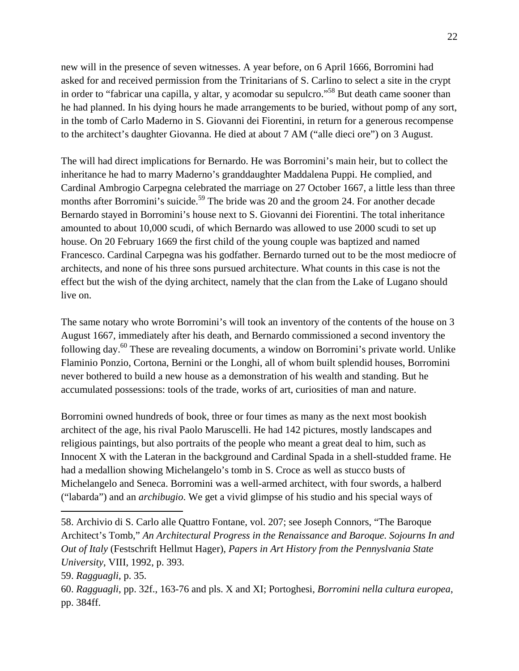new will in the presence of seven witnesses. A year before, on 6 April 1666, Borromini had asked for and received permission from the Trinitarians of S. Carlino to select a site in the crypt in order to "fabricar una capilla, y altar, y acomodar su sepulcro."58 But death came sooner than he had planned. In his dying hours he made arrangements to be buried, without pomp of any sort, in the tomb of Carlo Maderno in S. Giovanni dei Fiorentini, in return for a generous recompense to the architect's daughter Giovanna. He died at about 7 AM ("alle dieci ore") on 3 August.

The will had direct implications for Bernardo. He was Borromini's main heir, but to collect the inheritance he had to marry Maderno's granddaughter Maddalena Puppi. He complied, and Cardinal Ambrogio Carpegna celebrated the marriage on 27 October 1667, a little less than three months after Borromini's suicide.<sup>59</sup> The bride was 20 and the groom 24. For another decade Bernardo stayed in Borromini's house next to S. Giovanni dei Fiorentini. The total inheritance amounted to about 10,000 scudi, of which Bernardo was allowed to use 2000 scudi to set up house. On 20 February 1669 the first child of the young couple was baptized and named Francesco. Cardinal Carpegna was his godfather. Bernardo turned out to be the most mediocre of architects, and none of his three sons pursued architecture. What counts in this case is not the effect but the wish of the dying architect, namely that the clan from the Lake of Lugano should live on.

The same notary who wrote Borromini's will took an inventory of the contents of the house on 3 August 1667, immediately after his death, and Bernardo commissioned a second inventory the following day.60 These are revealing documents, a window on Borromini's private world. Unlike Flaminio Ponzio, Cortona, Bernini or the Longhi, all of whom built splendid houses, Borromini never bothered to build a new house as a demonstration of his wealth and standing. But he accumulated possessions: tools of the trade, works of art, curiosities of man and nature.

Borromini owned hundreds of book, three or four times as many as the next most bookish architect of the age, his rival Paolo Maruscelli. He had 142 pictures, mostly landscapes and religious paintings, but also portraits of the people who meant a great deal to him, such as Innocent X with the Lateran in the background and Cardinal Spada in a shell-studded frame. He had a medallion showing Michelangelo's tomb in S. Croce as well as stucco busts of Michelangelo and Seneca. Borromini was a well-armed architect, with four swords, a halberd ("labarda") and an *archibugio*. We get a vivid glimpse of his studio and his special ways of

<sup>58.</sup> Archivio di S. Carlo alle Quattro Fontane, vol. 207; see Joseph Connors, "The Baroque Architect's Tomb," *An Architectural Progress in the Renaissance and Baroque. Sojourns In and Out of Italy* (Festschrift Hellmut Hager), *Papers in Art History from the Pennyslvania State University*, VIII, 1992, p. 393.

<sup>59.</sup> *Ragguagli*, p. 35.

<sup>60.</sup> *Ragguagli*, pp. 32f., 163-76 and pls. X and XI; Portoghesi, *Borromini nella cultura europea*, pp. 384ff.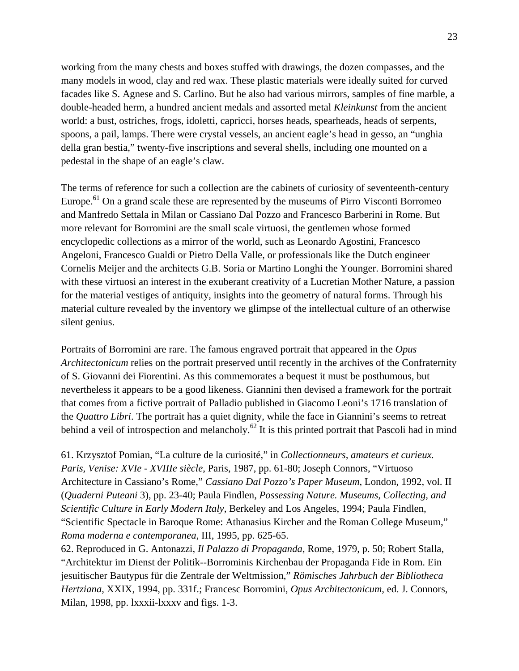working from the many chests and boxes stuffed with drawings, the dozen compasses, and the many models in wood, clay and red wax. These plastic materials were ideally suited for curved facades like S. Agnese and S. Carlino. But he also had various mirrors, samples of fine marble, a double-headed herm, a hundred ancient medals and assorted metal *Kleinkunst* from the ancient world: a bust, ostriches, frogs, idoletti, capricci, horses heads, spearheads, heads of serpents, spoons, a pail, lamps. There were crystal vessels, an ancient eagle's head in gesso, an "unghia della gran bestia," twenty-five inscriptions and several shells, including one mounted on a pedestal in the shape of an eagle's claw.

The terms of reference for such a collection are the cabinets of curiosity of seventeenth-century Europe.<sup>61</sup> On a grand scale these are represented by the museums of Pirro Visconti Borromeo and Manfredo Settala in Milan or Cassiano Dal Pozzo and Francesco Barberini in Rome. But more relevant for Borromini are the small scale virtuosi, the gentlemen whose formed encyclopedic collections as a mirror of the world, such as Leonardo Agostini, Francesco Angeloni, Francesco Gualdi or Pietro Della Valle, or professionals like the Dutch engineer Cornelis Meijer and the architects G.B. Soria or Martino Longhi the Younger. Borromini shared with these virtuosi an interest in the exuberant creativity of a Lucretian Mother Nature, a passion for the material vestiges of antiquity, insights into the geometry of natural forms. Through his material culture revealed by the inventory we glimpse of the intellectual culture of an otherwise silent genius.

Portraits of Borromini are rare. The famous engraved portrait that appeared in the *Opus Architectonicum* relies on the portrait preserved until recently in the archives of the Confraternity of S. Giovanni dei Fiorentini. As this commemorates a bequest it must be posthumous, but nevertheless it appears to be a good likeness. Giannini then devised a framework for the portrait that comes from a fictive portrait of Palladio published in Giacomo Leoni's 1716 translation of the *Quattro Libri*. The portrait has a quiet dignity, while the face in Giannini's seems to retreat behind a veil of introspection and melancholy.<sup>62</sup> It is this printed portrait that Pascoli had in mind

<sup>61.</sup> Krzysztof Pomian, "La culture de la curiosité," in *Collectionneurs, amateurs et curieux. Paris, Venise: XVIe - XVIIIe siècle*, Paris, 1987, pp. 61-80; Joseph Connors, "Virtuoso Architecture in Cassiano's Rome," *Cassiano Dal Pozzo's Paper Museum*, London, 1992, vol. II (*Quaderni Puteani* 3), pp. 23-40; Paula Findlen, *Possessing Nature. Museums, Collecting, and Scientific Culture in Early Modern Italy*, Berkeley and Los Angeles, 1994; Paula Findlen, "Scientific Spectacle in Baroque Rome: Athanasius Kircher and the Roman College Museum," *Roma moderna e contemporanea*, III, 1995, pp. 625-65.

<sup>62.</sup> Reproduced in G. Antonazzi, *Il Palazzo di Propaganda*, Rome, 1979, p. 50; Robert Stalla, "Architektur im Dienst der Politik--Borrominis Kirchenbau der Propaganda Fide in Rom. Ein jesuitischer Bautypus für die Zentrale der Weltmission," *Römisches Jahrbuch der Bibliotheca Hertziana*, XXIX, 1994, pp. 331f.; Francesc Borromini, *Opus Architectonicum*, ed. J. Connors, Milan, 1998, pp. lxxxii-lxxxv and figs. 1-3.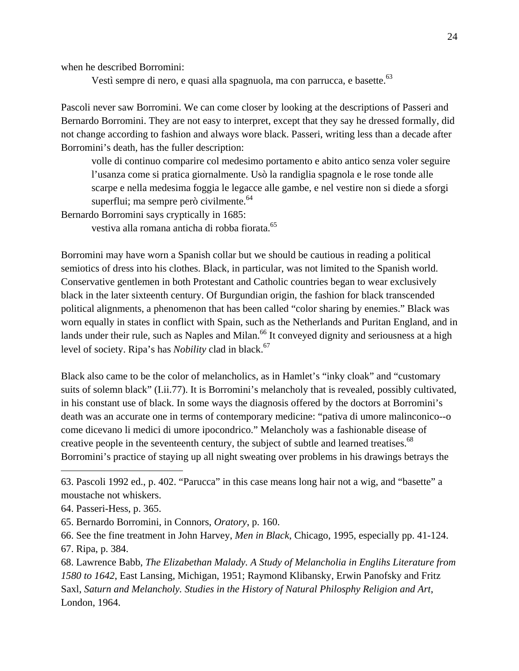when he described Borromini:

Vestì sempre di nero, e quasi alla spagnuola, ma con parrucca, e basette.<sup>63</sup>

Pascoli never saw Borromini. We can come closer by looking at the descriptions of Passeri and Bernardo Borromini. They are not easy to interpret, except that they say he dressed formally, did not change according to fashion and always wore black. Passeri, writing less than a decade after Borromini's death, has the fuller description:

volle di continuo comparire col medesimo portamento e abito antico senza voler seguire l'usanza come si pratica giornalmente. Usò la randiglia spagnola e le rose tonde alle scarpe e nella medesima foggia le legacce alle gambe, e nel vestire non si diede a sforgi superflui; ma sempre però civilmente.  $64$ 

Bernardo Borromini says cryptically in 1685: vestiva alla romana anticha di robba fiorata.<sup>65</sup>

Borromini may have worn a Spanish collar but we should be cautious in reading a political semiotics of dress into his clothes. Black, in particular, was not limited to the Spanish world. Conservative gentlemen in both Protestant and Catholic countries began to wear exclusively black in the later sixteenth century. Of Burgundian origin, the fashion for black transcended political alignments, a phenomenon that has been called "color sharing by enemies." Black was worn equally in states in conflict with Spain, such as the Netherlands and Puritan England, and in lands under their rule, such as Naples and Milan.<sup>66</sup> It conveyed dignity and seriousness at a high level of society. Ripa's has *Nobility* clad in black.<sup>67</sup>

Black also came to be the color of melancholics, as in Hamlet's "inky cloak" and "customary suits of solemn black" (I.ii.77). It is Borromini's melancholy that is revealed, possibly cultivated, in his constant use of black. In some ways the diagnosis offered by the doctors at Borromini's death was an accurate one in terms of contemporary medicine: "pativa di umore malinconico--o come dicevano li medici di umore ipocondrico." Melancholy was a fashionable disease of creative people in the seventeenth century, the subject of subtle and learned treatises.<sup>68</sup> Borromini's practice of staying up all night sweating over problems in his drawings betrays the

<sup>63.</sup> Pascoli 1992 ed., p. 402. "Parucca" in this case means long hair not a wig, and "basette" a moustache not whiskers.

<sup>64.</sup> Passeri-Hess, p. 365.

<sup>65.</sup> Bernardo Borromini, in Connors, *Oratory*, p. 160.

<sup>66.</sup> See the fine treatment in John Harvey, *Men in Black*, Chicago, 1995, especially pp. 41-124. 67. Ripa, p. 384.

<sup>68.</sup> Lawrence Babb, *The Elizabethan Malady. A Study of Melancholia in Englihs Literature from 1580 to 1642*, East Lansing, Michigan, 1951; Raymond Klibansky, Erwin Panofsky and Fritz Saxl, *Saturn and Melancholy. Studies in the History of Natural Philosphy Religion and Art*, London, 1964.